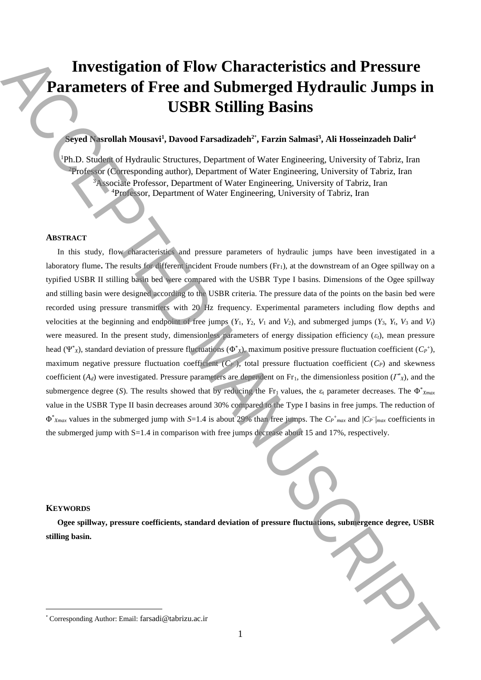# **Investigation of Flow Characteristics and Pressure Parameters of Free and Submerged Hydraulic Jumps in USBR Stilling Basins**

# **Seyed Nasrollah Mousavi<sup>1</sup> , Davood Farsadizadeh<sup>2</sup>**\* **, Farzin Salmasi<sup>3</sup> , Ali Hosseinzadeh Dalir<sup>4</sup>**

<sup>1</sup>Ph.D. Student of Hydraulic Structures, Department of Water Engineering, University of Tabriz, Iran <sup>2</sup>Professor (Corresponding author), Department of Water Engineering, University of Tabriz, Iran <sup>3</sup>Associate Professor, Department of Water Engineering, University of Tabriz, Iran <sup>4</sup>Professor, Department of Water Engineering, University of Tabriz, Iran

## **ABSTRACT**

In this study, flow characteristics and pressure parameters of hydraulic jumps have been investigated in a laboratory flume. The results for different incident Froude numbers (Fr<sub>1</sub>), at the downstream of an Ogee spillway on a typified USBR II stilling basin bed were compared with the USBR Type I basins. Dimensions of the Ogee spillway and stilling basin were designed according to the USBR criteria. The pressure data of the points on the basin bed were recorded using pressure transmitters with 20 Hz frequency. Experimental parameters including flow depths and velocities at the beginning and endpoint of free jumps  $(Y_1, Y_2, V_1 \text{ and } V_2)$ , and submerged jumps  $(Y_3, Y_4, V_3 \text{ and } V_1)$ were measured. In the present study, dimensionless parameters of energy dissipation efficiency (*εt*), mean pressure head ( $\Psi^*$ x), standard deviation of pressure fluctuations ( $\Phi^*$ x), maximum positive pressure fluctuation coefficient ( $C_P^+$ ), maximum negative pressure fluctuation coefficient  $(C_F)$ , total pressure fluctuation coefficient  $(C_P)$  and skewness coefficient ( $A_d$ ) were investigated. Pressure parameters are dependent on Fr<sub>1</sub>, the dimensionless position ( $\Gamma^*_{X}$ ), and the submergence degree (S). The results showed that by reducing the Fr<sub>1</sub> values, the  $\varepsilon_t$  parameter decreases. The  $\Phi^*_{Xmax}$ value in the USBR Type II basin decreases around 30% compared to the Type I basins in free jumps. The reduction of  $\Phi^*_{Xmax}$  values in the submerged jump with *S*=1.4 is about 29% than free jumps. The  $C_P^*_{max}$  and  $|C_P^-|_{max}$  coefficients in the submerged jump with S=1.4 in comparison with free jumps decrease about 15 and 17%, respectively. **Example 16 Free and Submerged Hydraulic Jumps in Free and Submerged Hydraulic Jumps in CGBR Stilling Basins<br>
Corresponding Monault Sucara Francesconding Authorities Corresponding Authorities (Authority of Tabriz, Line Th** 

## **KEYWORDS**

 $\overline{a}$ 

**Ogee spillway, pressure coefficients, standard deviation of pressure fluctuations, submergence degree, USBR stilling basin.**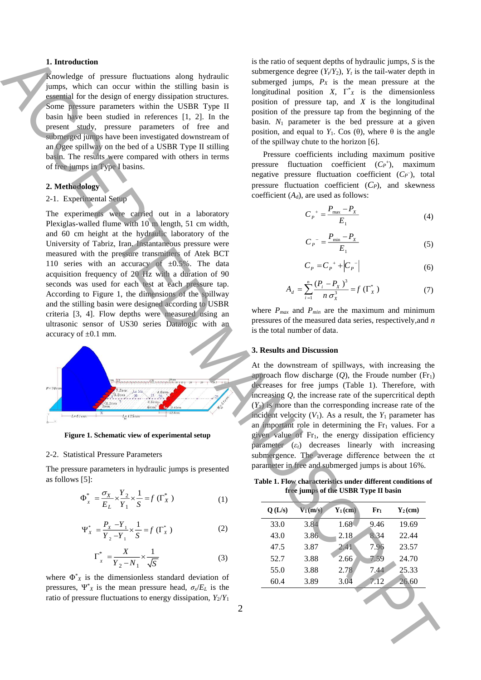## **1. Introduction**

Knowledge of pressure fluctuations along hydraulic jumps, which can occur within the stilling basin is essential for the design of energy dissipation structures. Some pressure parameters within the USBR Type II basin have been studied in references [1, 2]. In the present study, pressure parameters of free and submerged jumps have been investigated downstream of an Ogee spillway on the bed of a USBR Type II stilling basin. The results were compared with others in terms of free jumps in Type I basins.

## **2. Methodology**

## 2-1. Experimental Setup

The experiments were carried out in a laboratory Plexiglas-walled flume with 10 m length, 51 cm width, and 60 cm height at the hydraulic laboratory of the University of Tabriz, Iran. Instantaneous pressure were measured with the pressure transmitters of Atek BCT 110 series with an accuracy of  $\pm 0.5$ %. The data acquisition frequency of 20 Hz with a duration of 90 seconds was used for each test at each pressure tap. According to Figure 1, the dimensions of the spillway and the stilling basin were designed according to USBR criteria [3, 4]. Flow depths were measured using an ultrasonic sensor of US30 series Datalogic with an accuracy of ±0.1 mm. **1.** Lot of the second interaction and the second interaction  $\alpha$ . Let  $\alpha$  be the second interaction  $\alpha$  be the second interaction  $\alpha$  be the second interaction  $\alpha$  be the second interaction  $\alpha$  be the second intera



**Figure 1. Schematic view of experimental setup**

#### 2-2. Statistical Pressure Parameters

The pressure parameters in hydraulic jumps is presented as follows [5]:

$$
\Phi_{x}^{*} = \frac{\sigma_{X}}{E_{L}} \times \frac{Y_{2}}{Y_{1}} \times \frac{1}{S} = f(\Gamma_{X}^{*})
$$
\n(1)

$$
\Psi_{x}^{*} = \frac{P_{x} - Y_{1}}{Y_{2} - Y_{1}} \times \frac{1}{S} = f(\Gamma_{x}^{*})
$$
 (2)

$$
\Gamma_{x}^{*} = \frac{X}{Y_{2} - N_{1}} \times \frac{1}{\sqrt{S}}
$$
 (3)

where  $\Phi_X^*$  is the dimensionless standard deviation of pressures,  $\Psi^*$ *x* is the mean pressure head,  $\sigma_x/E_L$  is the ratio of pressure fluctuations to energy dissipation,  $Y_2/Y_1$ 

is the ratio of sequent depths of hydraulic jumps, *S* is the submergence degree  $(Y_t/Y_2)$ ,  $Y_t$  is the tail-water depth in submerged jumps,  $P_X$  is the mean pressure at the longitudinal position  $X$ ,  $\Gamma^*$  is the dimensionless position of pressure tap, and *X* is the longitudinal position of the pressure tap from the beginning of the basin.  $N_1$  parameter is the bed pressure at a given position, and equal to  $Y_1$ . Cos ( $\theta$ ), where  $\theta$  is the angle of the spillway chute to the horizon [6].

Pressure coefficients including maximum positive pressure fluctuation coefficient  $(C_P^+)$ , maximum negative pressure fluctuation coefficient  $(C_P^-)$ , total pressure fluctuation coefficient  $(C_P)$ , and skewness coefficient  $(A_d)$ , are used as follows:

$$
C_{P}^{+} = \frac{P_{\text{max}} - P_{X}}{E_{1}}
$$
 (4)

$$
C_{P}^{-} = \frac{P_{\min} - P_{X}}{E_{1}}
$$
 (5)

$$
C_p = C_p^+ + \left| C_p^- \right| \tag{6}
$$

$$
A_d = \sum_{i=1}^{n} \frac{(P_i - P_X)^3}{n \sigma_X^3} = f(\Gamma_X^*)
$$
 (7)

where *Pmax* and *Pmin* are the maximum and minimum pressures of the measured data series, respectively*,*and *n*  is the total number of data.

#### **3. Results and Discussion**

At the downstream of spillways, with increasing the approach flow discharge  $(Q)$ , the Froude number  $(Fr_1)$ decreases for free jumps (Table 1). Therefore, with increasing *Q*, the increase rate of the supercritical depth  $(Y_1)$  is more than the corresponding increase rate of the incident velocity  $(V_1)$ . As a result, the  $Y_1$  parameter has an important role in determining the  $Fr_1$  values. For a given value of  $Fr<sub>1</sub>$ , the energy dissipation efficiency parameter  $(\varepsilon_t)$  decreases linearly with increasing submergence. The average difference between the εt parameter in free and submerged jumps is about 16%.

**Table 1. Flow characteristics under different conditions of free jumps of the USBR Type II basin**

| Q(L/s) | $V_1(m/s)$ | $Y_1$ (cm) | $\mathbf{Fr}_1$ | $Y_2$ (cm) |
|--------|------------|------------|-----------------|------------|
| 33.0   | 3.84       | 1.68       | 9.46            | 19.69      |
| 43.0   | 3.86       | 2.18       | 8.34            | 22.44      |
| 47.5   | 3.87       | 2.41       | 7.96            | 23.57      |
| 52.7   | 3.88       | 2.66       | 7.59            | 24.70      |
| 55.0   | 3.88       | 2.78       | 7.44            | 25.33      |
| 60.4   | 3.89       | 3.04       | 7.12            | 26.60      |